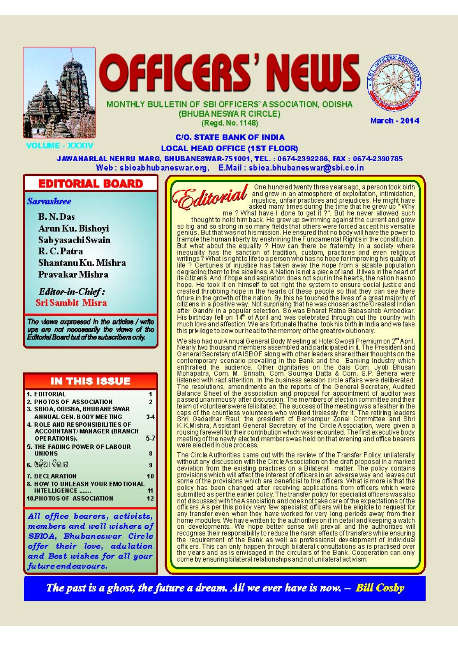





**March - 2014** 

MONTHLY BULLETIN OF SBI OFFICERS' A SSOCIATION, ODISHA (BHUBA NESWA R CIRCLE) (Regd. No. 1148)

**C/O. STATE BANK OF INDIA** 

**LOCAL HEAD OFFICE (1ST FLOOR)** 

**JAWAHARLAL NEHRU MARG, BHUBANESWAR-751001, TEL.: 0674-2392286, FAX: 0674-2390785** Web: sbioabhubaneswar.org, E.Mail: sbioa.bhubaneswar@sbi.co.in

### EDITORIAL BOARD

Sarvashree

**B.N.Das** Arun Ku. Bishoyi Sab vasachi Swain R.C.Patra Shantanu Ku. Mishra Pravakar Mishra

**Editor-in-Chief: Sri Sambit Misra** 

The views expressed in the articles / write ups are not necessarily the views of the ditorial Board but of the subscribers only.

### **IN THIS ISSUE**

 $\mathbf{I}$ 

 $\overline{2}$ 

 $12$ 

- 1. EDITORIAL
- 2. PHOTOS OF ASSOCIATION
- 3. SBIOA, ODISHA, BHUBANE SWAR ANNUAL GEN. BODY MEE TING  $3-4$
- 4. ROLE AND RESPONSIBILITIES OF ACCOUNTANT/MANAGER (BRANCH OPERATIONS).  $5-7$ 5. THE FADING POWER OF LABOUR **UNIONS** 8 େ ଓଡ଼ିଆ ବିଭାଗ  $\overline{9}$
- 7. DECLARATION  $10$ 8. HOW TO UNLEASH YOUR EMOTIONAL **INTELLIGENCE...**  $11$
- **10.PHOTOS OF ASSOCIATION**

All office bearers, activists, members and well wishers of SBIOA, Bhubaneswar Circle offer their love, adulation and Best wishes for all your future endeavours.



injustice, unfair practices and prejudices. He might have<br>asked many times during the time that he grew up "Why<br>me ? What have I done to get it ?". But he never allowed such thought to hold him back. He grew up swimming against the current and grew so big and so strong in so many fields that others were forced accept his versatile genius. But that was not his mission. He ensured that no body will have the power to Frample the human liberty by enshrining the Fundamental Rights in the constitution.<br>But what about the equality ? How can there be fraternity in a society where<br>inequality has the sanction of tradition, custom, practices a life ? Centuries of injustice has taken away the hope from a sizable population degrading them to the sidelines. A Nation is not a piece of land. It lives in the heart of its citiz ens. And if hope and aspiration does not spur in the hearts, the nation has no hope. He took it on himself to set right the system to ensure social justice and created throbbing hope in the hearts of these people so that they can see there future in the growth of the nation. By this he touched the lives of a great majority of<br>citizens in a positive way. Not surprising that he was chosen as the Greatest Indian after Gandhi in a popular selection. So was Bharat Ratna Babasaheb Ambedkar. His birthday fell on 14th of April and was celebrated through out the country with much love and affection. We are fortunate that he took his birth in India and we take this privilege to bow our head to the memory of the great revolutionary.

One hundred twenty three years ago, a person took birth

and grew in an atmosphere of exploitation, intimidation,

We also had ourAnnual General Body Meeting at Hotel Swosti Premium on 2""April.<br>Nearly two thousand members assembled and participated in it. The President and General Secretary of AISBOF along with other leaders shared their thoughts on the Contemporary scenario prevailing in the Bank and the Banking Industry which<br>enthralled the audience. Other dignitaries on the dais Com. Jy oti Bhusan<br>Mohapatra, Com. M. Srinath, Com. Sounya Datta & Com. S.P. Behera were<br>li The resolutions, amendments an the reports of the General Secretary, Audited Palance Sheet of the association and proposal for appointment of auditor was<br>passed unanimously after discussion. The members of election committee and their passed unamnously are related. The success of the meeting was a feather in the<br>team of volunteers were felicitated. The success of the meeting was a feather in the<br>caps of the countless volunteers who worked tirelessly for rousing farewell for their contribution which was recounted. The first executive body meeting of the newly elected members was held on that evening and office bearers were elected in due process

The Circle Authorities came out with the review of the Transfer Policy unilaterally without any discussion with the Circle Association on the draft proposal in a marked deviation from the existing practices on a Bilateral matter. The policy contains provisions which will affect the interest of officers in an adverse way and leaves out some of the provisions which are beneficial to the officers. What is more is that the policy has been changed after receiving applications from officers which were submitted as per the earlier policy. The transfer policy for specialist officers was also not discussed with the Association and does not take care of the expectations of the officers. As per this policy very few specialist officers will be eligible to request for any transfer even when they have worked for very long periods away from their home modules. We have written to the authorities on it in detail and keeping a watch on developments. We hope better sense will prevail and the authorities will recognise their responsibility to reduce the harsh effects of transfers while ensuring the requirement of the Bank as well as professional development of individual officers. This can only happen through bilateral consultations as is practised over<br>the years and as is envisaged in the circulars of the Bank. Cooperation can only come by ensuring bilateral relationships and not unilateral activism.

The past is a ghost, the future a dream. All we ever have is now.  $-$  Bill Cosby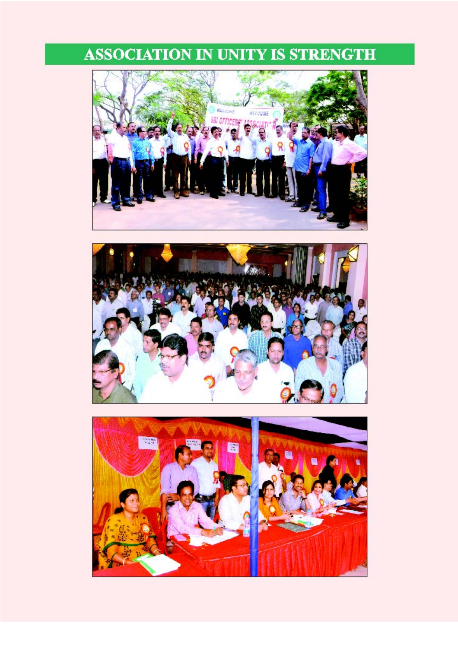# **ASSOCIATION IN UNITY IS STRENGTH**





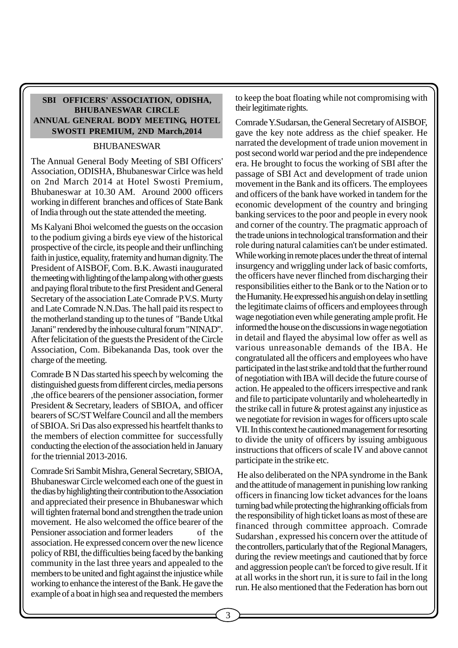#### **SBI OFFICERS' ASSOCIATION, ODISHA, BHUBANESWAR CIRCLE ANNUAL GENERAL BODY MEETING, HOTEL SWOSTI PREMIUM, 2ND March,2014**

#### BHUBANESWAR

The Annual General Body Meeting of SBI Officers' Association, ODISHA, Bhubaneswar Cirlce was held on 2nd March 2014 at Hotel Swosti Premium, Bhubaneswar at 10.30 AM. Around 2000 officers working in different branches and offices of State Bank of India through out the state attended the meeting.

Ms Kalyani Bhoi welcomed the guests on the occasion to the podium giving a birds eye view of the historical prospective of the circle, its people and their unflinching faith in justice, equality, fraternity and human dignity. The President of AISBOF, Com. B.K. Awasti inaugurated the meeting with lighting of the lamp along with other guests and paying floral tribute to the first President and General Secretary of the association Late Comrade P.V.S. Murty and Late Comrade N.N.Das. The hall paid its respect to the motherland standing up to the tunes of "Bande Utkal Janani" rendered by the inhouse cultural forum "NINAD". After felicitation of the guests the President of the Circle Association, Com. Bibekananda Das, took over the charge of the meeting.

Comrade B N Das started his speech by welcoming the distinguished guests from different circles, media persons ,the office bearers of the pensioner association, former President & Secretary, leaders of SBIOA, and officer bearers of SC/ST Welfare Council and all the members of SBIOA. Sri Das also expressed his heartfelt thanks to the members of election committee for successfully conducting the election of the association held in January for the triennial 2013-2016.

Comrade Sri Sambit Mishra, General Secretary, SBIOA, Bhubaneswar Circle welcomed each one of the guest in the dias by highlighting their contribution to the Association and appreciated their presence in Bhubaneswar which will tighten fraternal bond and strengthen the trade union movement. He also welcomed the office bearer of the Pensioner association and former leaders of the association. He expressed concern over the new licence policy of RBI, the difficulties being faced by the banking community in the last three years and appealed to the members to be united and fight against the injustice while working to enhance the interest of the Bank. He gave the example of a boat in high sea and requested the members

to keep the boat floating while not compromising with their legitimate rights.

Comrade Y.Sudarsan, the General Secretary of AISBOF, gave the key note address as the chief speaker. He narrated the development of trade union movement in post second world war period and the pre independence era. He brought to focus the working of SBI after the passage of SBI Act and development of trade union movement in the Bank and its officers. The employees and officers of the bank have worked in tandem for the economic development of the country and bringing banking services to the poor and people in every nook and corner of the country. The pragmatic approach of the trade unions in technological transformation and their role during natural calamities can't be under estimated. While working in remote places under the threat of internal insurgency and wriggling under lack of basic comforts, the officers have never flinched from discharging their responsibilities either to the Bank or to the Nation or to the Humanity. He expressed his anguish on delay in settling the legitimate claims of officers and employees through wage negotiation even while generating ample profit. He informed the house on the discussions in wage negotiation in detail and flayed the abysimal low offer as well as various unreasonable demands of the IBA. He congratulated all the officers and employees who have participated in the last strike and told that the further round of negotiation with IBA will decide the future course of action. He appealed to the officers irrespective and rank and file to participate voluntarily and wholeheartedly in the strike call in future & protest against any injustice as we negotiate for revision in wages for officers upto scale VII. In this context he cautioned management for resorting to divide the unity of officers by issuing ambiguous instructions that officers of scale IV and above cannot participate in the strike etc.

 He also deliberated on the NPA syndrome in the Bank and the attitude of management in punishing low ranking officers in financing low ticket advances for the loans turning bad while protecting the highranking officials from the responsibility of high ticket loans as most of these are financed through committee approach. Comrade Sudarshan , expressed his concern over the attitude of the controllers, particularly that of the Regional Managers, during the review meetings and cautioned that by force and aggression people can't be forced to give result. If it at all works in the short run, it is sure to fail in the long run. He also mentioned that the Federation has born out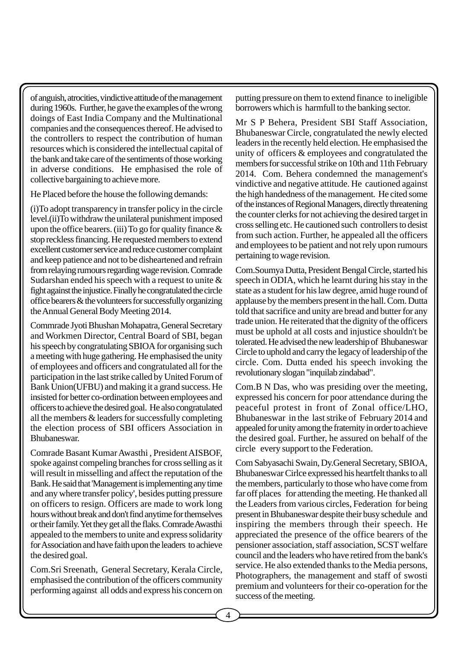of anguish, atrocities, vindictive attitude of the management during 1960s. Further, he gave the examples of the wrong doings of East India Company and the Multinational companies and the consequences thereof. He advised to the controllers to respect the contribution of human resources which is considered the intellectual capital of the bank and take care of the sentiments of those working in adverse conditions. He emphasised the role of collective bargaining to achieve more.

He Placed before the house the following demands:

(i)To adopt transparency in transfer policy in the circle level.(ii)To withdraw the unilateral punishment imposed upon the office bearers. (iii) To go for quality finance  $\&$ stop reckless financing. He requested members to extend excellent customer service and reduce customer complaint and keep patience and not to be disheartened and refrain from relaying rumours regarding wage revision. Comrade Sudarshan ended his speech with a request to unite  $\&$ fight against the injustice. Finally he congratulated the circle office bearers & the volunteers for successfully organizing the Annual General Body Meeting 2014.

Commrade Jyoti Bhushan Mohapatra, General Secretary and Workmen Director, Central Board of SBI, began his speech by congratulating SBIOA for organising such a meeting with huge gathering. He emphasised the unity of employees and officers and congratulated all for the participation in the last strike called by United Forum of Bank Union(UFBU) and making it a grand success. He insisted for better co-ordination between employees and officers to achieve the desired goal. He also congratulated all the members & leaders for successfully completing the election process of SBI officers Association in Bhubaneswar.

Comrade Basant Kumar Awasthi , President AISBOF, spoke against compeling branches for cross selling as it will result in misselling and affect the reputation of the Bank. He said that 'Management is implementing any time and any where transfer policy', besides putting pressure on officers to resign. Officers are made to work long hours without break and don't find anytime for themselves or their family. Yet they get all the flaks. Comrade Awasthi appealed to the members to unite and express solidarity for Association and have faith upon the leaders to achieve the desired goal.

Com.Sri Sreenath, General Secretary, Kerala Circle, emphasised the contribution of the officers community performing against all odds and express his concern on putting pressure on them to extend finance to ineligible borrowers which is harmfull to the banking sector.

Mr S P Behera, President SBI Staff Association, Bhubaneswar Circle, congratulated the newly elected leaders in the recently held election. He emphasised the unity of officers & employees and congratulated the members for successful strike on 10th and 11th February 2014. Com. Behera condemned the management's vindictive and negative attitude. He cautioned against the high handedness of the management. He cited some of the instances of Regional Managers, directly threatening the counter clerks for not achieving the desired target in cross selling etc. He cautioned such controllers to desist from such action. Further, he appealed all the officers and employees to be patient and not rely upon rumours pertaining to wage revision.

Com.Soumya Dutta, President Bengal Circle, started his speech in ODIA, which he learnt during his stay in the state as a student for his law degree, amid huge round of applause by the members present in the hall. Com. Dutta told that sacrifice and unity are bread and butter for any trade union. He reiterated that the dignity of the officers must be uphold at all costs and injustice shouldn't be tolerated. He advised the new leadership of Bhubaneswar Circle to uphold and carry the legacy of leadership of the circle. Com. Dutta ended his speech invoking the revolutionary slogan "inquilab zindabad".

Com.B N Das, who was presiding over the meeting, expressed his concern for poor attendance during the peaceful protest in front of Zonal office/LHO, Bhubaneswar in the last strike of February 2014 and appealed for unity among the fraternity in order to achieve the desired goal. Further, he assured on behalf of the circle every support to the Federation.

Com Sabyasachi Swain, Dy.General Secretary, SBIOA, Bhubaneswar Cirlce expressed his heartfelt thanks to all the members, particularly to those who have come from far off places for attending the meeting. He thanked all the Leaders from various circles, Federation for being present in Bhubaneswar despite their busy schedule and inspiring the members through their speech. He appreciated the presence of the office bearers of the pensioner association, staff association, SCST welfare council and the leaders who have retired from the bank's service. He also extended thanks to the Media persons, Photographers, the management and staff of swosti premium and volunteers for their co-operation for the success of the meeting.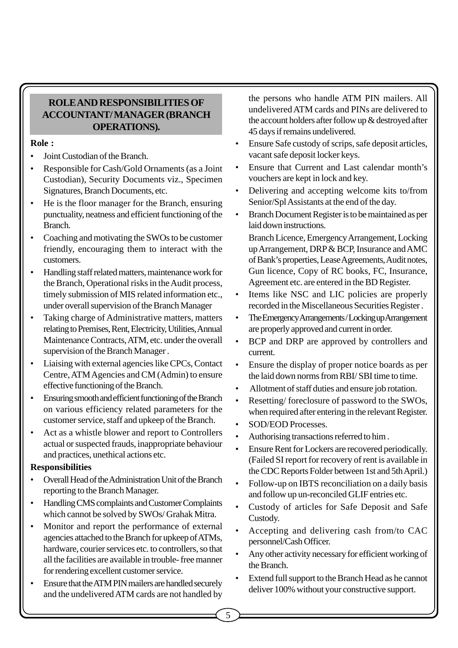## **ROLE AND RESPONSIBILITIES OF ACCOUNTANT/ MANAGER (BRANCH OPERATIONS).**

#### **Role :**

- Joint Custodian of the Branch.
- Responsible for Cash/Gold Ornaments (as a Joint Custodian), Security Documents viz., Specimen Signatures, Branch Documents, etc.
- He is the floor manager for the Branch, ensuring punctuality, neatness and efficient functioning of the Branch.
- Coaching and motivating the SWOs to be customer friendly, encouraging them to interact with the customers.
- Handling staff related matters, maintenance work for the Branch, Operational risks in the Audit process, timely submission of MIS related information etc., under overall supervision of the Branch Manager
- Taking charge of Administrative matters, matters relating to Premises, Rent, Electricity, Utilities, Annual Maintenance Contracts, ATM, etc. under the overall supervision of the Branch Manager .
- Liaising with external agencies like CPCs, Contact Centre, ATM Agencies and CM (Admin) to ensure effective functioning of the Branch.
- Ensuring smooth and efficient functioning of the Branch on various efficiency related parameters for the customer service, staff and upkeep of the Branch.
- Act as a whistle blower and report to Controllers actual or suspected frauds, inappropriate behaviour and practices, unethical actions etc.

#### **Responsibilities**

- Overall Head of the Administration Unit of the Branch reporting to the Branch Manager.
- Handling CMS complaints and Customer Complaints which cannot be solved by SWOs/ Grahak Mitra.
- Monitor and report the performance of external agencies attached to the Branch for upkeep of ATMs, hardware, courier services etc. to controllers, so that all the facilities are available in trouble- free manner for rendering excellent customer service.
- Ensure that the ATM PIN mailers are handled securely and the undelivered ATM cards are not handled by

the persons who handle ATM PIN mailers. All undelivered ATM cards and PINs are delivered to the account holders after follow up & destroyed after 45 days if remains undelivered.

- Ensure Safe custody of scrips, safe deposit articles, vacant safe deposit locker keys.
- Ensure that Current and Last calendar month's vouchers are kept in lock and key.
- Delivering and accepting welcome kits to/from Senior/Spl Assistants at the end of the day.
- Branch Document Register is to be maintained as per laid down instructions.

Branch Licence, Emergency Arrangement, Locking up Arrangement, DRP & BCP, Insurance and AMC of Bank's properties, Lease Agreements, Audit notes, Gun licence, Copy of RC books, FC, Insurance, Agreement etc. are entered in the BD Register.

- Items like NSC and LIC policies are properly recorded in the Miscellaneous Securities Register .
- The Emergency Arrangements / Locking up Arrangement are properly approved and current in order.
- BCP and DRP are approved by controllers and current.
- Ensure the display of proper notice boards as per the laid down norms from RBI/ SBI time to time.
- Allotment of staff duties and ensure job rotation.
- Resetting/foreclosure of password to the SWOs, when required after entering in the relevant Register.
- SOD/EOD Processes.
- Authorising transactions referred to him .
- Ensure Rent for Lockers are recovered periodically. (Failed SI report for recovery of rent is available in the CDC Reports Folder between 1st and 5th April.)
- Follow-up on IBTS reconciliation on a daily basis and follow up un-reconciled GLIF entries etc.
- Custody of articles for Safe Deposit and Safe Custody.
- Accepting and delivering cash from/to CAC personnel/Cash Officer.
- Any other activity necessary for efficient working of the Branch.
- Extend full support to the Branch Head as he cannot deliver 100% without your constructive support.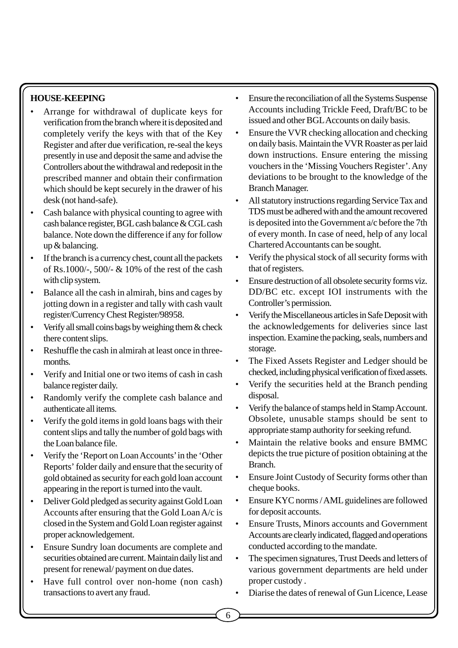## **HOUSE-KEEPING**

- Arrange for withdrawal of duplicate keys for verification from the branch where it is deposited and completely verify the keys with that of the Key Register and after due verification, re-seal the keys presently in use and deposit the same and advise the Controllers about the withdrawal and redeposit in the prescribed manner and obtain their confirmation which should be kept securely in the drawer of his desk (not hand-safe).
- Cash balance with physical counting to agree with cash balance register, BGL cash balance & CGL cash balance. Note down the difference if any for follow up & balancing.
- If the branch is a currency chest, count all the packets of Rs.1000/-, 500/- & 10% of the rest of the cash with clip system.
- Balance all the cash in almirah, bins and cages by jotting down in a register and tally with cash vault register/Currency Chest Register/98958.
- Verify all small coins bags by weighing them & check there content slips.
- Reshuffle the cash in almirah at least once in threemonths.
- Verify and Initial one or two items of cash in cash balance register daily.
- Randomly verify the complete cash balance and authenticate all items.
- Verify the gold items in gold loans bags with their content slips and tally the number of gold bags with the Loan balance file.
- Verify the 'Report on Loan Accounts' in the 'Other Reports' folder daily and ensure that the security of gold obtained as security for each gold loan account appearing in the report is turned into the vault.
- Deliver Gold pledged as security against Gold Loan Accounts after ensuring that the Gold Loan A/c is closed in the System and Gold Loan register against proper acknowledgement.
- Ensure Sundry loan documents are complete and securities obtained are current. Maintain daily list and present for renewal/ payment on due dates.
- Have full control over non-home (non cash) transactions to avert any fraud.
- Ensure the reconciliation of all the Systems Suspense Accounts including Trickle Feed, Draft/BC to be issued and other BGL Accounts on daily basis.
- Ensure the VVR checking allocation and checking on daily basis. Maintain the VVR Roaster as per laid down instructions. Ensure entering the missing vouchers in the 'Missing Vouchers Register'. Any deviations to be brought to the knowledge of the Branch Manager.
- All statutory instructions regarding Service Tax and TDS must be adhered with and the amount recovered is deposited into the Government a/c before the 7th of every month. In case of need, help of any local Chartered Accountants can be sought.
- Verify the physical stock of all security forms with that of registers.
- Ensure destruction of all obsolete security forms viz. DD/BC etc. except IOI instruments with the Controller's permission.
- Verify the Miscellaneous articles in Safe Deposit with the acknowledgements for deliveries since last inspection. Examine the packing, seals, numbers and storage.
- The Fixed Assets Register and Ledger should be checked, including physical verification of fixed assets.
- Verify the securities held at the Branch pending disposal.
- Verify the balance of stamps held in Stamp Account. Obsolete, unusable stamps should be sent to appropriate stamp authority for seeking refund.
- Maintain the relative books and ensure BMMC depicts the true picture of position obtaining at the Branch.
- Ensure Joint Custody of Security forms other than cheque books.
- Ensure KYC norms / AML guidelines are followed for deposit accounts.
- Ensure Trusts, Minors accounts and Government Accounts are clearly indicated, flagged and operations conducted according to the mandate.
- The specimen signatures, Trust Deeds and letters of various government departments are held under proper custody .
- Diarise the dates of renewal of Gun Licence, Lease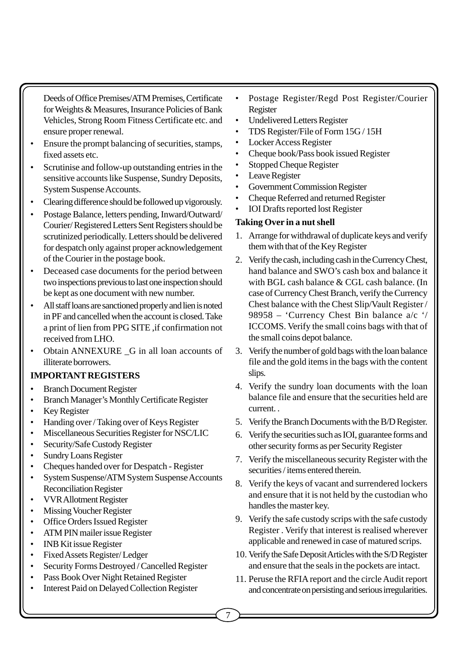Deeds of Office Premises/ATM Premises, Certificate for Weights & Measures, Insurance Policies of Bank Vehicles, Strong Room Fitness Certificate etc. and ensure proper renewal.

- Ensure the prompt balancing of securities, stamps, fixed assets etc.
- Scrutinise and follow-up outstanding entries in the sensitive accounts like Suspense, Sundry Deposits, System Suspense Accounts.
- Clearing difference should be followed up vigorously.
- Postage Balance, letters pending, Inward/Outward/ Courier/ Registered Letters Sent Registers should be scrutinized periodically. Letters should be delivered for despatch only against proper acknowledgement of the Courier in the postage book.
- Deceased case documents for the period between two inspections previous to last one inspection should be kept as one document with new number.
- All staff loans are sanctioned properly and lien is noted in PF and cancelled when the account is closed. Take a print of lien from PPG SITE ,if confirmation not received from LHO.
- Obtain ANNEXURE \_G in all loan accounts of illiterate borrowers.

### **IMPORTANT REGISTERS**

- Branch Document Register
- Branch Manager's Monthly Certificate Register
- Key Register
- Handing over / Taking over of Keys Register
- Miscellaneous Securities Register for NSC/LIC
- Security/Safe Custody Register
- Sundry Loans Register
- Cheques handed over for Despatch Register
- System Suspense/ATM System Suspense Accounts Reconciliation Register
- VVR Allotment Register
- Missing Voucher Register
- Office Orders Issued Register
- ATM PIN mailer issue Register
- INB Kit issue Register
- Fixed Assets Register/ Ledger
- Security Forms Destroyed / Cancelled Register
- Pass Book Over Night Retained Register
- Interest Paid on Delayed Collection Register
- Postage Register/Regd Post Register/Courier Register
- Undelivered Letters Register
- TDS Register/File of Form 15G / 15H
- Locker Access Register
- Cheque book/Pass book issued Register
- Stopped Cheque Register
- Leave Register
- Government Commission Register
- Cheque Referred and returned Register
- IOI Drafts reported lost Register

### **Taking Over in a nut shell**

- 1. Arrange for withdrawal of duplicate keys and verify them with that of the Key Register
- 2. Verify the cash, including cash in the Currency Chest, hand balance and SWO's cash box and balance it with BGL cash balance & CGL cash balance. (In case of Currency Chest Branch, verify the Currency Chest balance with the Chest Slip/Vault Register / 98958 – 'Currency Chest Bin balance a/c '/ ICCOMS. Verify the small coins bags with that of the small coins depot balance.
- 3. Verify the number of gold bags with the loan balance file and the gold items in the bags with the content slips.
- 4. Verify the sundry loan documents with the loan balance file and ensure that the securities held are current. .
- 5. Verify the Branch Documents with the B/D Register.
- 6. Verify the securities such as IOI, guarantee forms and other security forms as per Security Register
- 7. Verify the miscellaneous security Register with the securities / items entered therein.
- 8. Verify the keys of vacant and surrendered lockers and ensure that it is not held by the custodian who handles the master key.
- 9. Verify the safe custody scrips with the safe custody Register . Verify that interest is realised wherever applicable and renewed in case of matured scrips.
- 10. Verify the Safe Deposit Articles with the S/D Register and ensure that the seals in the pockets are intact.
- 11. Peruse the RFIA report and the circle Audit report and concentrate on persisting and serious irregularities.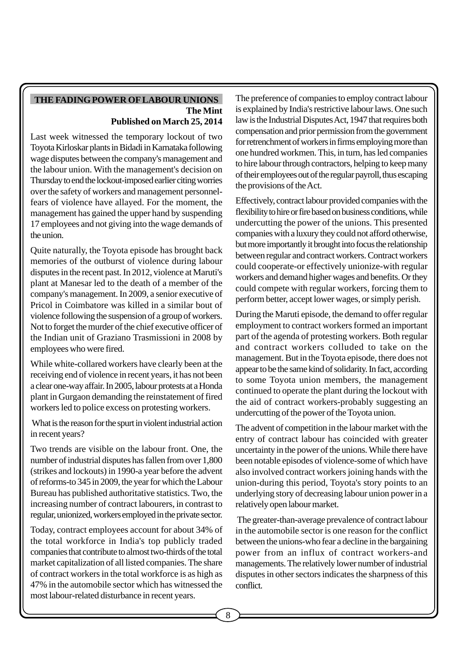#### **THE FADING POWER OF LABOUR UNIONS The Mint Published on March 25, 2014**

Last week witnessed the temporary lockout of two Toyota Kirloskar plants in Bidadi in Karnataka following wage disputes between the company's management and the labour union. With the management's decision on Thursday to end the lockout-imposed earlier citing worries over the safety of workers and management personnelfears of violence have allayed. For the moment, the management has gained the upper hand by suspending 17 employees and not giving into the wage demands of the union.

Quite naturally, the Toyota episode has brought back memories of the outburst of violence during labour disputes in the recent past. In 2012, violence at Maruti's plant at Manesar led to the death of a member of the company's management. In 2009, a senior executive of Pricol in Coimbatore was killed in a similar bout of violence following the suspension of a group of workers. Not to forget the murder of the chief executive officer of the Indian unit of Graziano Trasmissioni in 2008 by employees who were fired.

While white-collared workers have clearly been at the receiving end of violence in recent years, it has not been a clear one-way affair. In 2005, labour protests at a Honda plant in Gurgaon demanding the reinstatement of fired workers led to police excess on protesting workers.

 What is the reason for the spurt in violent industrial action in recent years?

Two trends are visible on the labour front. One, the number of industrial disputes has fallen from over 1,800 (strikes and lockouts) in 1990-a year before the advent of reforms-to 345 in 2009, the year for which the Labour Bureau has published authoritative statistics. Two, the increasing number of contract labourers, in contrast to regular, unionized, workers employed in the private sector.

Today, contract employees account for about 34% of the total workforce in India's top publicly traded companies that contribute to almost two-thirds of the total market capitalization of all listed companies. The share of contract workers in the total workforce is as high as 47% in the automobile sector which has witnessed the most labour-related disturbance in recent years.

The preference of companies to employ contract labour is explained by India's restrictive labour laws. One such law is the Industrial Disputes Act, 1947 that requires both compensation and prior permission from the government for retrenchment of workers in firms employing more than one hundred workmen. This, in turn, has led companies to hire labour through contractors, helping to keep many of their employees out of the regular payroll, thus escaping the provisions of the Act.

Effectively, contract labour provided companies with the flexibility to hire or fire based on business conditions, while undercutting the power of the unions. This presented companies with a luxury they could not afford otherwise, but more importantly it brought into focus the relationship between regular and contract workers. Contract workers could cooperate-or effectively unionize-with regular workers and demand higher wages and benefits. Or they could compete with regular workers, forcing them to perform better, accept lower wages, or simply perish.

During the Maruti episode, the demand to offer regular employment to contract workers formed an important part of the agenda of protesting workers. Both regular and contract workers colluded to take on the management. But in the Toyota episode, there does not appear to be the same kind of solidarity. In fact, according to some Toyota union members, the management continued to operate the plant during the lockout with the aid of contract workers-probably suggesting an undercutting of the power of the Toyota union.

The advent of competition in the labour market with the entry of contract labour has coincided with greater uncertainty in the power of the unions. While there have been notable episodes of violence-some of which have also involved contract workers joining hands with the union-during this period, Toyota's story points to an underlying story of decreasing labour union power in a relatively open labour market.

 The greater-than-average prevalence of contract labour in the automobile sector is one reason for the conflict between the unions-who fear a decline in the bargaining power from an influx of contract workers-and managements. The relatively lower number of industrial disputes in other sectors indicates the sharpness of this conflict.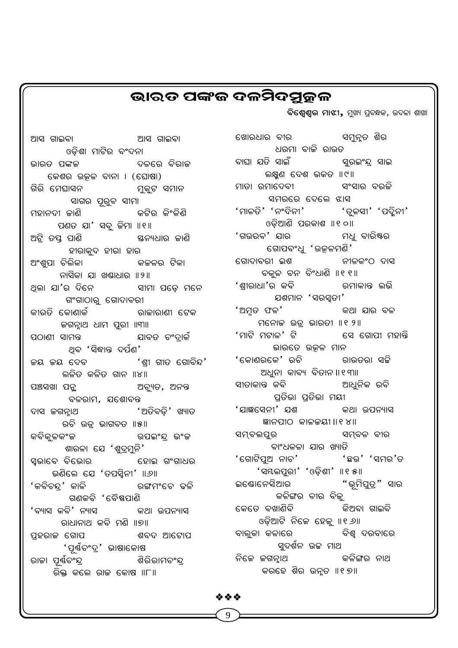## ଭାରତ ପଙ୍କଜ ଦଳମିଦମ୍<u>ମ</u>ଳଳ

ବିଶ୍ୱେଶ୍ୱର ମାଝୀ, ମୁଖ୍ୟ ପ୍ରବନ୍ଧକ, ଉଦଳା ଶାଖା

ଆସ ଗାଇବା ଆସ ଗାଇବା انا ଏଡ଼ିଶା ମାଟିର ବଂଦନା<br>'ଭାରତ ପଙ୍କଜ ଭାରତ ପଙ୍କଜ ଦଳରେ ବିରାଜ ବାଘା ଯତି ସାଇଁ ସୁରଇଂନ୍ଦ୍ର ସାଇ କେଶର ଉତ୍କଳ ବାନା । (ଘୋଷା) ଗିରି ମେଘାସନ ମୁକୁଟ ସମାନ ସାଗର ପୂରୁବ ସୀମା cjû^\ú RûYò KUòe KòõKòYò ପଣତ ଯା' ସବୁ ଜିମା ॥୧॥ @Uâò Z¯ \_ûYò É^ý]ûe RûYò ହୀରାକୁଦ ହୀରା ହାର<br>ଲିକା କଜଳର ଟିକା ଅଂଶୁପା ଚିଲିକା ନାସିକା ଯା ଖଣ୍ଡାଧାର ॥୨॥ ଥିଲା ଯା'ର ଦିନେ ସୀମା ପଡ଼େ ମନେ ଗଂଗାଠାର୍ ଗୋଦାବରୀ କୀରତି କୋଣାର୍କ ରାଜାରାଣୀ ଟେକ କଗନ୍ନାଥ ଧାମ ପୁରୀ ॥୩॥ ପଠାଣୀ ସାମନ୍ତ ଯାବତ ଚଂଦ୍ରାର୍କ ଥିବ 'ସିଦ୍ଧାନ୍ତ ଦର୍ପଣ' Rd Rd ù\a 'gâú MúZ ùMûaò¦' ଲଳିତ କଳିତ ଗାନ ॥୪॥ ପଞ୍ଚସଖା ପଦ୍ଭୁ ଅଚ୍ୟୁତ, ଅନନ୍ତ ବଳରାମ, ଯଶୋବନ୍ତ \ûi RM^Üû[ '@ZòaWÿò' LýûZ ରଚି ଉତ୍ର ଭାଗବତ ॥୫॥ କବିକୁଳକଂଜ ଉପଇଂନ୍ଦ୍ର ଭଂଜ gûekû ù~ 'gê\âcê^ò' ହୋଇ ଗଂଗାଧର ଭଶିଲେ ଯେ 'ତପସ୍ୱିନୀ' ॥୬॥<br>ଚନ୍ଦ୍ର' କାଳି ରଙ୍ଗମଂଚେ ଢଳି 'କବିଚନ୍ଦ୍ର' କାଳି ଗଣକବି 'ବୈଷପାଣି<br>ବି' ନ୍ୟାସ କଥା ଉପନ୍ୟାସ 'ବ୍ୟାସ କବି' ନ୍ୟାସ ରାଧାନାଥ କବି ମଣି ॥୭॥ ପ୍ରହରାଜ ଗୋପ ଶବଦ ଆଟୋପ ବାଲୁକା କଳାରେ ବିଶ୍ୱ ଦରବାରେ 'ପୂର୍ଣ୍**ଚଂଦ୍ର' ଭାଷାକୋଷ** ରାଜା ପୂର୍ଣ୍ଣଚଂନ୍ଦ୍ର ରିକ୍ତ କଲେ ରାଜ କୋଷ ॥୮॥

ଖୋରଧାର ବୀର ସମୁନ୍ନତ ଶିର ଧରମା ବାଜି ରାଉତ ଲକ୍ଷୁଣ ଦେଶ ଭକତ ॥୯॥ ମାତା ରମାଦେବୀ ସଂସାର ବରଜି ସମରରେ ଦେଲେ ଝାସ 'ମାଳତି' 'ନଂଦିନୀ' 'ତୁଳସୀ' 'ପଦ୍ମିନୀ' ଓଡ଼ିଆଣି ପରକାଶ ॥୧୦॥ 'ଗଉରବ' ଯାର ମଧୁ ବାରିଷ୍ଠର ଗୋପବଂଧୁ 'ଉତ୍କଳମଣି' ଗୋଦାବରୀ ଇଶ ନୀଳକଂଠ ଦାସ ବକୁଳ ବନ ବିଂଧାଣି ॥୧୧॥ 'ଶ୍ୱୀରାଧା'ର କବି ରମାକାନ୍ତ ଲଭି  $\Omega$ ଶମାନ $\degree$ 'ସରସ୍ୱତୀ $\degree$ ʻଅମତ ଫଳ' କଥା ଯାର ବଳ ମନୋଜ ଉତ୍ର ଭାରତୀ ॥୧ ୨॥ 'ମାଟି ମଟାଳ' ଟି ସେ ଗୋପୀ ମହାନ୍ତି ଭାରତେ ଉତ୍କଳ ମାନ<br>କ' ରଚି ରାଉତରା ସଚ୍ଚି 'କୋଣରକେ<sup>'</sup> ରଚି ଅଧୁନା କାବ୍ୟ ବିତାନ॥୧୩॥<br>।ନ୍ତ କବି ଆଧୁନିକ ରବି ସୀତାକାନ୍ତ କବି ୍ରପ୍ରତିଭା ପ୍ରତିଭା ମୟୀ<br>1' ଯଶ କଥା ଉପନ୍ୟାସ 'ଯାଜ୍ଞସେନୀ' ଯଶ ଜ୍ଞାନପୀଠ କାଳଜୟୀ ॥ ୧୪॥ icþaf\_êe icþak aúe aûõ]Kkû ~ûe LýûZò 'ଛଉ' 'ସମର'ତ  $'$ ସୟଲପୁରୀ $'$   $'$ ଓଡ଼ିଶୀ $'$ ାା୧୫ାା ଇଣ୍ଡୋନେସିଆର $\qquad\qquad\qquad$  "ଭୂମିପୁତ୍ର" ସାର କଳିଙ୍ଗର ବୀର ବିଜ କେତେ ବଖାଣିବି କିଅବା ଗାଇବି ଓଡ଼ିଆଟି ନିଜେ ହେକ୍ ॥୧*୬*॥ ସ୍ୱଦର୍ଶନ ଉଚ୍ଚ ମାଥ ଶିରିରାମଚଂନ୍ଦ୍ର ନିଜେ କଗନ୍ନାଥ କଳିଙ୍ଗର ନାଥ କରହେ ଶିର ଉନ୍ତ ॥୧୭॥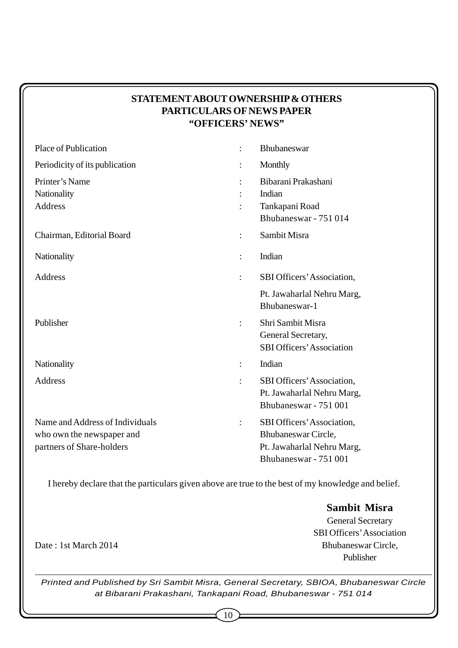## **STATEMENT ABOUT OWNERSHIP & OTHERS PARTICULARS OF NEWS PAPER "OFFICERS' NEWS"**

| Place of Publication                                                                      |                | Bhubaneswar                                                                                              |
|-------------------------------------------------------------------------------------------|----------------|----------------------------------------------------------------------------------------------------------|
| Periodicity of its publication                                                            |                | Monthly                                                                                                  |
| Printer's Name<br>Nationality<br><b>Address</b>                                           |                | Bibarani Prakashani<br>Indian<br>Tankapani Road<br>Bhubaneswar - 751 014                                 |
| Chairman, Editorial Board                                                                 |                | Sambit Misra                                                                                             |
| Nationality                                                                               |                | Indian                                                                                                   |
| Address                                                                                   |                | SBI Officers' Association,                                                                               |
|                                                                                           |                | Pt. Jawaharlal Nehru Marg,<br>Bhubaneswar-1                                                              |
| Publisher                                                                                 |                | Shri Sambit Misra<br>General Secretary,<br><b>SBI Officers' Association</b>                              |
| Nationality                                                                               |                | Indian                                                                                                   |
| Address                                                                                   | $\ddot{\cdot}$ | SBI Officers' Association,<br>Pt. Jawaharlal Nehru Marg,<br>Bhubaneswar - 751 001                        |
| Name and Address of Individuals<br>who own the newspaper and<br>partners of Share-holders | $\ddot{\cdot}$ | SBI Officers' Association,<br>Bhubaneswar Circle,<br>Pt. Jawaharlal Nehru Marg,<br>Bhubaneswar - 751 001 |

I hereby declare that the particulars given above are true to the best of my knowledge and belief.

**Sambit Misra** General Secretary

SBI Officers' Association Date : 1st March 2014 Bhubaneswar Circle, Publisher

*Printed and Published by Sri Sambit Misra, General Secretary, SBIOA, Bhubaneswar Circle at Bibarani Prakashani, Tankapani Road, Bhubaneswar - 751 014*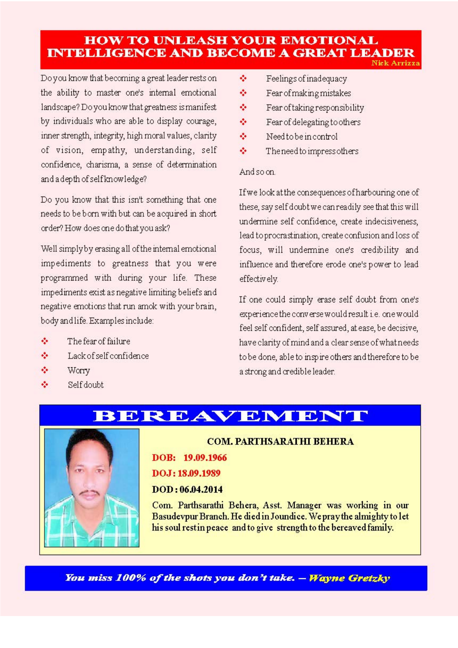#### **HOW TO UNLEASH YOUR EMOTIONAL INTELLIGENCE AND BECOME A GREAT LEADER** Nick Arrizz:

Do you know that becoming a great leader rests on the ability to master one's internal emotional landscape? Do you know that greatness is manifest by individuals who are able to display courage, inner strength, integrity, high moral values, clarity of vision, empathy, understanding, self confidence, charisma, a sense of determination and a depth of self knowledge?

Do you know that this isn't something that one needs to be born with but can be acquired in short order? How does one do that you ask?

Well simply by erasing all of the internal emotional impediments to greatness that you were programmed with during your life. These impediments exist as negative limiting beliefs and negative emotions that run amok with your brain, body and life. Examples include:

- ŵ. The fear of failure
- ÷ Lack of self confidence
- ÷ Worry
- Ø. Self doubt.



÷ Feelings of inadequacy

- é. Fear of making mistakes
- ŵ. Fear of taking responsibility
- ÷ Fear of delegating to others
- de Need to be in control.
- ŵ. The need to impress others

#### Andsoon

If we look at the consequences of harbouring one of these, say self doubt we can readily see that this will undermine self confidence, create indecisiveness, lead to procrastination, create confusion and loss of focus, will undermine one's credibility and influence and therefore erode one's power to lead effectively.

If one could simply erase self doubt from one's experience the converse would result i.e. one would feel self confident, self assured, at ease, be decisive, have clarity of mind and a clear sense of what needs to be done, able to inspire others and therefore to be a strong and credible leader.

## BEREAVEMENT

#### **COM. PARTHSARATHI BEHERA**

DOB: 19.09.1966

DO.J: 18.09.1989

DOD: 06.04.2014

Com. Parthsarathi Behera, Asst. Manager was working in our Basudevpur Branch. He died in Joundice. We pray the almighty to let his soul restin peace and to give strength to the bereaved family.

You miss 100% of the shots you don't take. - Wayne Gretzky